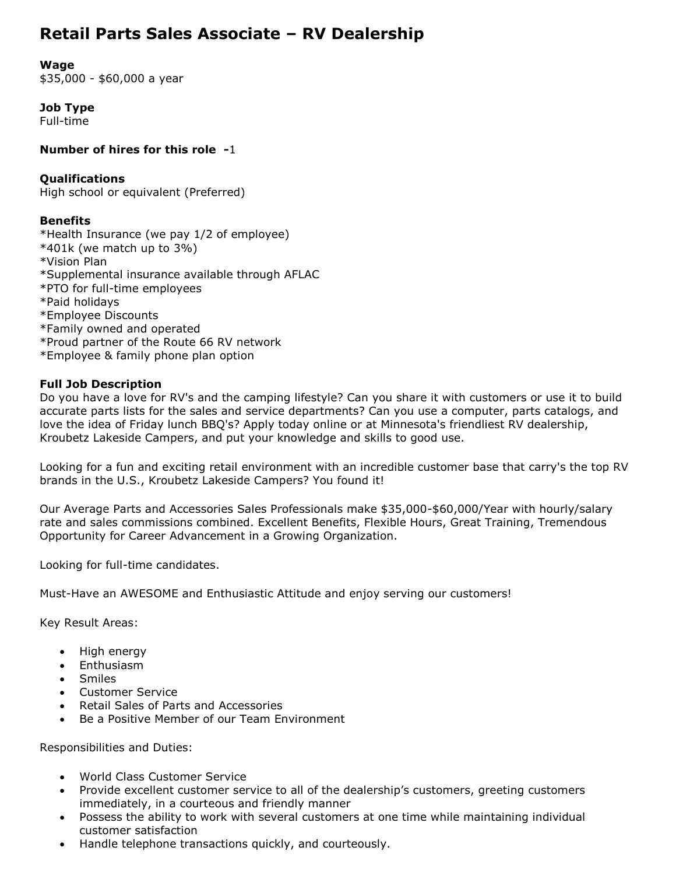# **Retail Parts Sales Associate – RV Dealership**

**Wage**

\$35,000 - \$60,000 a year

**Job Type** Full-time

**Number of hires for this role -**1

## **Qualifications**

High school or equivalent (Preferred)

## **Benefits**

\*Health Insurance (we pay 1/2 of employee) \*401k (we match up to 3%) \*Vision Plan \*Supplemental insurance available through AFLAC \*PTO for full-time employees \*Paid holidays \*Employee Discounts \*Family owned and operated \*Proud partner of the Route 66 RV network \*Employee & family phone plan option

## **Full Job Description**

Do you have a love for RV's and the camping lifestyle? Can you share it with customers or use it to build accurate parts lists for the sales and service departments? Can you use a computer, parts catalogs, and love the idea of Friday lunch BBQ's? Apply today online or at Minnesota's friendliest RV dealership, Kroubetz Lakeside Campers, and put your knowledge and skills to good use.

Looking for a fun and exciting retail environment with an incredible customer base that carry's the top RV brands in the U.S., Kroubetz Lakeside Campers? You found it!

Our Average Parts and Accessories Sales Professionals make \$35,000-\$60,000/Year with hourly/salary rate and sales commissions combined. Excellent Benefits, Flexible Hours, Great Training, Tremendous Opportunity for Career Advancement in a Growing Organization.

Looking for full-time candidates.

Must-Have an AWESOME and Enthusiastic Attitude and enjoy serving our customers!

Key Result Areas:

- High energy
- Enthusiasm
- Smiles
- Customer Service
- Retail Sales of Parts and Accessories
- Be a Positive Member of our Team Environment

Responsibilities and Duties:

- World Class Customer Service
- Provide excellent customer service to all of the dealership's customers, greeting customers immediately, in a courteous and friendly manner
- Possess the ability to work with several customers at one time while maintaining individual customer satisfaction
- Handle telephone transactions quickly, and courteously.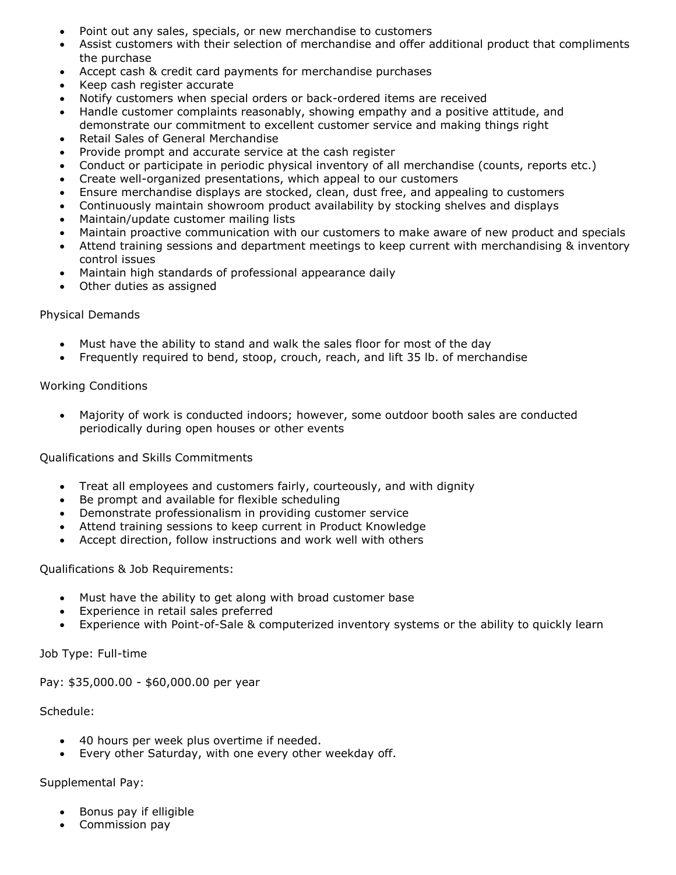- Point out any sales, specials, or new merchandise to customers
- Assist customers with their selection of merchandise and offer additional product that compliments the purchase
- Accept cash & credit card payments for merchandise purchases
- Keep cash register accurate
- Notify customers when special orders or back-ordered items are received
- Handle customer complaints reasonably, showing empathy and a positive attitude, and demonstrate our commitment to excellent customer service and making things right
- Retail Sales of General Merchandise
- Provide prompt and accurate service at the cash register
- Conduct or participate in periodic physical inventory of all merchandise (counts, reports etc.)
- Create well-organized presentations, which appeal to our customers
- Ensure merchandise displays are stocked, clean, dust free, and appealing to customers
- Continuously maintain showroom product availability by stocking shelves and displays
- Maintain/update customer mailing lists
- Maintain proactive communication with our customers to make aware of new product and specials
- Attend training sessions and department meetings to keep current with merchandising & inventory control issues
- Maintain high standards of professional appearance daily
- Other duties as assigned

#### Physical Demands

- Must have the ability to stand and walk the sales floor for most of the day
- Frequently required to bend, stoop, crouch, reach, and lift 35 lb. of merchandise

#### Working Conditions

 Majority of work is conducted indoors; however, some outdoor booth sales are conducted periodically during open houses or other events

Qualifications and Skills Commitments

- Treat all employees and customers fairly, courteously, and with dignity
- Be prompt and available for flexible scheduling
- Demonstrate professionalism in providing customer service
- Attend training sessions to keep current in Product Knowledge
- Accept direction, follow instructions and work well with others

### Qualifications & Job Requirements:

- Must have the ability to get along with broad customer base
- Experience in retail sales preferred
- Experience with Point-of-Sale & computerized inventory systems or the ability to quickly learn

Job Type: Full-time

Pay: \$35,000.00 - \$60,000.00 per year

#### Schedule:

- 40 hours per week plus overtime if needed.
- Every other Saturday, with one every other weekday off.

#### Supplemental Pay:

- Bonus pay if elligible
- Commission pay